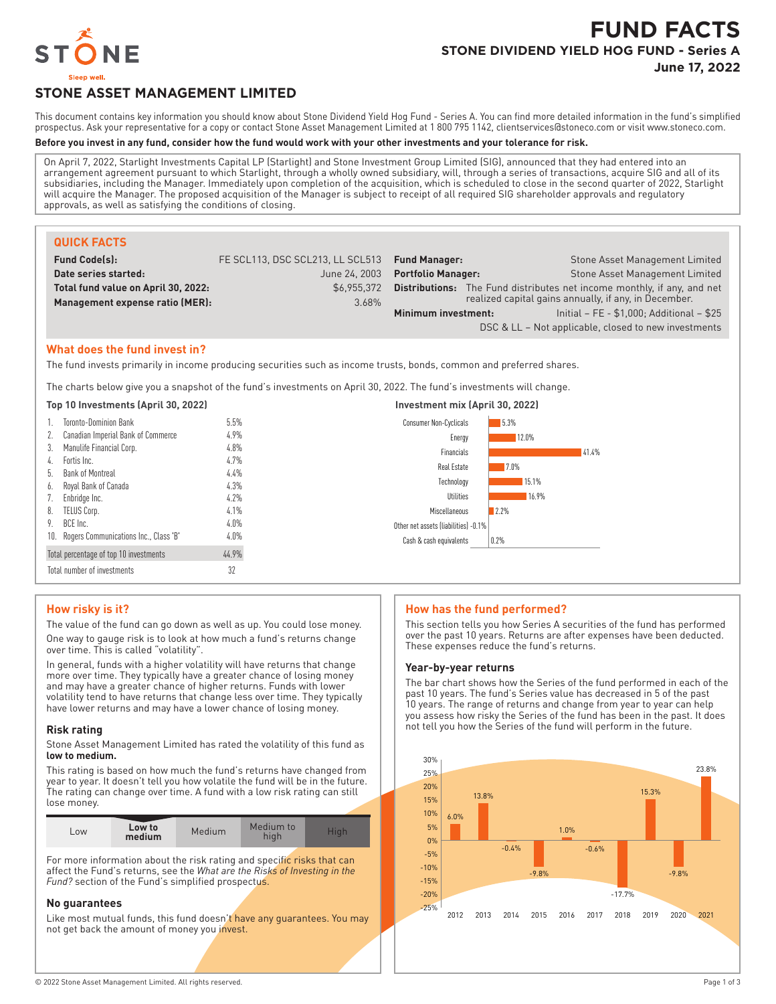

# **FUND FACTS STONE DIVIDEND YIELD HOG FUND - Series A**

**June 17, 2022**

# **STONE ASSET MANAGEMENT LIMITED**

This document contains key information you should know about Stone Dividend Yield Hog Fund - Series A. You can find more detailed information in the fund's simplified prospectus. Ask your representative for a copy or contact Stone Asset Management Limited at 1 800 795 1142, clientservices@stoneco.com or visit www.stoneco.com.

#### **Before you invest in any fund, consider how the fund would work with your other investments and your tolerance for risk.**

On April 7, 2022, Starlight Investments Capital LP (Starlight) and Stone Investment Group Limited (SIG), announced that they had entered into an arrangement agreement pursuant to which Starlight, through a wholly owned subsidiary, will, through a series of transactions, acquire SIG and all of its subsidiaries, including the Manager. Immediately upon completion of the acquisition, which is scheduled to close in the second quarter of 2022, Starlight will acquire the Manager. The proposed acquisition of the Manager is subject to receipt of all required SIG shareholder approvals and regulatory approvals, as well as satisfying the conditions of closing.

| <b>QUICK FACTS</b>                  |                                  |                           |                                                                                |
|-------------------------------------|----------------------------------|---------------------------|--------------------------------------------------------------------------------|
| <b>Fund Code(s):</b>                | FE SCL113, DSC SCL213, LL SCL513 | <b>Fund Manager:</b>      | Stone Asset Management Limited                                                 |
| Date series started:                | June 24, 2003                    | <b>Portfolio Manager:</b> | Stone Asset Management Limited                                                 |
| Total fund value on April 30, 2022: | \$6.955.372                      |                           | <b>Distributions:</b> The Fund distributes net income monthly, if any, and net |
| Management expense ratio (MER):     | 3.68%                            |                           | realized capital gains annually, if any, in December.                          |
|                                     |                                  | Minimum investment:       | Initial - FE - \$1,000; Additional - \$25                                      |
|                                     |                                  |                           | DSC & LL - Not applicable, closed to new investments                           |

#### **What does the fund invest in?**

The fund invests primarily in income producing securities such as income trusts, bonds, common and preferred shares.

The charts below give you a snapshot of the fund's investments on April 30, 2022. The fund's investments will change.

|    | Top 10 Investments (April 30, 2022)       |                 | Investment mix (April 30, 2022)       |
|----|-------------------------------------------|-----------------|---------------------------------------|
|    | <b>Toronto-Dominion Bank</b>              | 5.5%            | 5.3%<br><b>Consumer Non-Cyclicals</b> |
| 2. | Canadian Imperial Bank of Commerce        | 4.9%            | 12.0%<br>Energy                       |
| 3. | Manulife Financial Corp.                  | 4.8%            | 41.4%<br>Financials                   |
| 4. | Fortis Inc.                               | 4.7%            | 7.0%<br>Real Estate                   |
| b. | Bank of Montreal                          | 4.4%            | 15.1%<br>Technology                   |
| 6. | Royal Bank of Canada                      | 4.3%            | 16.9%<br>Utilities                    |
|    | Enbridge Inc.                             | 4.2%            |                                       |
| 8. | TELUS Corp.                               | 4.1%            | 12.2%<br>Miscellaneous                |
| 9. | BCE Inc.                                  | $4.0\%$<br>4.0% | Other net assets (liabilities) -0.1%  |
|    | 10. Rogers Communications Inc., Class 'B' |                 | 0.2%<br>Cash & cash equivalents       |
|    | Total percentage of top 10 investments    | 44.9%           |                                       |
|    | Total number of investments               | 32              |                                       |

# **How risky is it?**

The value of the fund can go down as well as up. You could lose money.

One way to gauge risk is to look at how much a fund's returns change over time. This is called "volatility".

In general, funds with a higher volatility will have returns that change more over time. They typically have a greater chance of losing money and may have a greater chance of higher returns. Funds with lower volatility tend to have returns that change less over time. They typically have lower returns and may have a lower chance of losing money.

#### **Risk rating**

Stone Asset Management Limited has rated the volatility of this fund as **low to medium.**

This rating is based on how much the fund's returns have changed from year to year. It doesn't tell you how volatile the fund will be in the future. The rating can change over time. A fund with a low risk rating can still lose money.

| LOW <sub></sub> | Low to<br>medium | Medium | Medium to<br>hiah | Hiah |
|-----------------|------------------|--------|-------------------|------|
|                 |                  |        |                   |      |

For more information about the risk rating and specific risks that can affect the Fund's returns, see the *What are the Risks of Investing in the Fund?* section of the Fund's simplified prospectus.

#### **No guarantees**

Like most mutual funds, this fund doesn't have any guarantees. You may not get back the amount of money you invest.

# **How has the fund performed?**

This section tells you how Series A securities of the fund has performed over the past 10 years. Returns are after expenses have been deducted. These expenses reduce the fund's returns.

#### **Year-by-year returns**

The bar chart shows how the Series of the fund performed in each of the past 10 years. The fund's Series value has decreased in 5 of the past 10 years. The range of returns and change from year to year can help you assess how risky the Series of the fund has been in the past. It does not tell you how the Series of the fund will perform in the future.

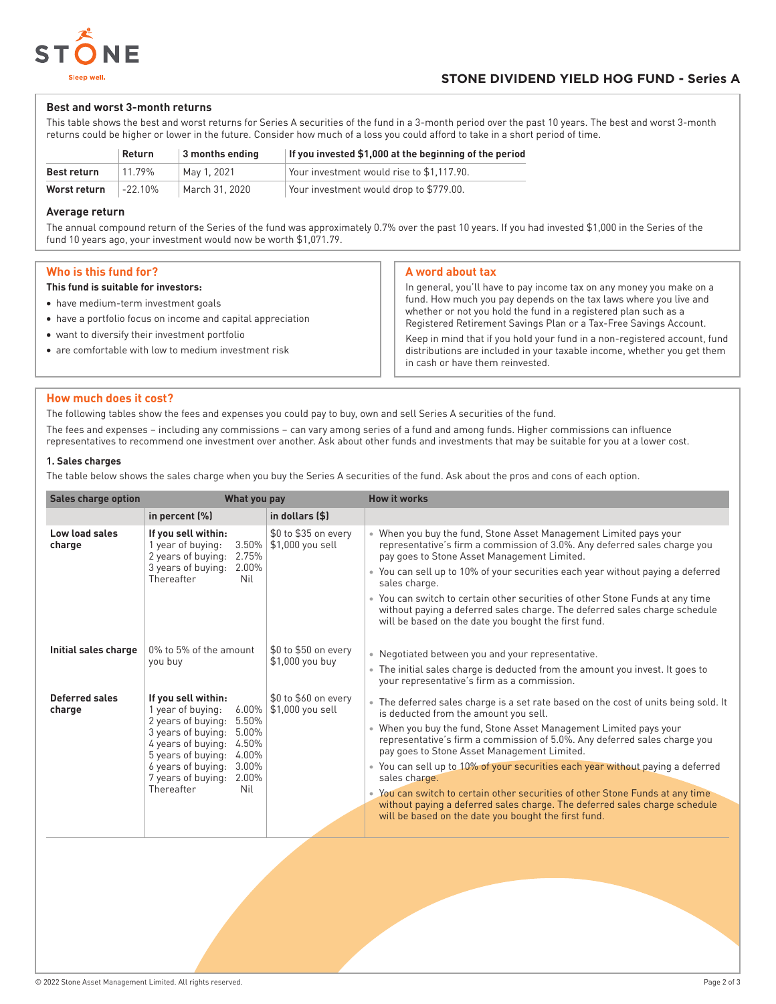

#### **Best and worst 3-month returns**

This table shows the best and worst returns for Series A securities of the fund in a 3-month period over the past 10 years. The best and worst 3-month returns could be higher or lower in the future. Consider how much of a loss you could afford to take in a short period of time.

|                    | Return     | 3 months ending | If you invested \$1,000 at the beginning of the period |
|--------------------|------------|-----------------|--------------------------------------------------------|
| <b>Best return</b> | 11.79%     | Mav 1. 2021     | Your investment would rise to \$1.117.90.              |
| Worst return       | $-22.10\%$ | March 31, 2020  | Your investment would drop to \$779.00.                |

#### **Average return**

The annual compound return of the Series of the fund was approximately 0.7% over the past 10 years. If you had invested \$1,000 in the Series of the fund 10 years ago, your investment would now be worth \$1,071.79.

### **Who is this fund for?**

#### **This fund is suitable for investors:**

- have medium-term investment goals
- have a portfolio focus on income and capital appreciation
- want to diversify their investment portfolio
- are comfortable with low to medium investment risk

#### **A word about tax**

In general, you'll have to pay income tax on any money you make on a fund. How much you pay depends on the tax laws where you live and whether or not you hold the fund in a registered plan such as a Registered Retirement Savings Plan or a Tax-Free Savings Account. Keep in mind that if you hold your fund in a non-registered account, fund

distributions are included in your taxable income, whether you get them in cash or have them reinvested.

#### **How much does it cost?**

The following tables show the fees and expenses you could pay to buy, own and sell Series A securities of the fund.

The fees and expenses – including any commissions – can vary among series of a fund and among funds. Higher commissions can influence representatives to recommend one investment over another. Ask about other funds and investments that may be suitable for you at a lower cost.

#### **1. Sales charges**

The table below shows the sales charge when you buy the Series A securities of the fund. Ask about the pros and cons of each option.

| <b>Sales charge option</b> | What you pay                                                                                                                                                                                                                                                        |                                          | <b>How it works</b>                                                                                                                                                                                                                                                                                                                                                                                                                                                                                                                                                                                                                                      |
|----------------------------|---------------------------------------------------------------------------------------------------------------------------------------------------------------------------------------------------------------------------------------------------------------------|------------------------------------------|----------------------------------------------------------------------------------------------------------------------------------------------------------------------------------------------------------------------------------------------------------------------------------------------------------------------------------------------------------------------------------------------------------------------------------------------------------------------------------------------------------------------------------------------------------------------------------------------------------------------------------------------------------|
|                            | in percent $(\%)$                                                                                                                                                                                                                                                   | in dollars (\$)                          |                                                                                                                                                                                                                                                                                                                                                                                                                                                                                                                                                                                                                                                          |
| Low load sales<br>charge   | If you sell within:<br>1 year of buying:<br>3.50%<br>2 years of buying:<br>2.75%<br>3 years of buying:<br>2.00%<br>Thereafter<br>Nil                                                                                                                                | \$0 to \$35 on every<br>\$1,000 you sell | • When you buy the fund, Stone Asset Management Limited pays your<br>representative's firm a commission of 3.0%. Any deferred sales charge you<br>pay goes to Stone Asset Management Limited.<br>• You can sell up to 10% of your securities each year without paying a deferred<br>sales charge.<br>• You can switch to certain other securities of other Stone Funds at any time<br>without paying a deferred sales charge. The deferred sales charge schedule<br>will be based on the date you bought the first fund.                                                                                                                                 |
| Initial sales charge       | 0% to 5% of the amount<br>you buy                                                                                                                                                                                                                                   | \$0 to \$50 on every<br>\$1,000 you buy  | • Negotiated between you and your representative.<br>• The initial sales charge is deducted from the amount you invest. It goes to<br>your representative's firm as a commission.                                                                                                                                                                                                                                                                                                                                                                                                                                                                        |
| Deferred sales<br>charge   | If you sell within:<br>$6.00\%$<br>1 year of buying:<br>2 years of buying:<br>5.50%<br>3 years of buying:<br>5.00%<br>4 years of buying:<br>4.50%<br>5 years of buying:<br>4.00%<br>6 years of buying:<br>3.00%<br>7 years of buying:<br>2.00%<br>Thereafter<br>Nil | \$0 to \$60 on every<br>\$1,000 you sell | • The deferred sales charge is a set rate based on the cost of units being sold. It<br>is deducted from the amount you sell.<br>• When you buy the fund, Stone Asset Management Limited pays your<br>representative's firm a commission of 5.0%. Any deferred sales charge you<br>pay goes to Stone Asset Management Limited.<br>• You can sell up to 10% of your securities each year without paying a deferred<br>sales charge.<br>• You can switch to certain other securities of other Stone Funds at any time<br>without paying a deferred sales charge. The deferred sales charge schedule<br>will be based on the date you bought the first fund. |